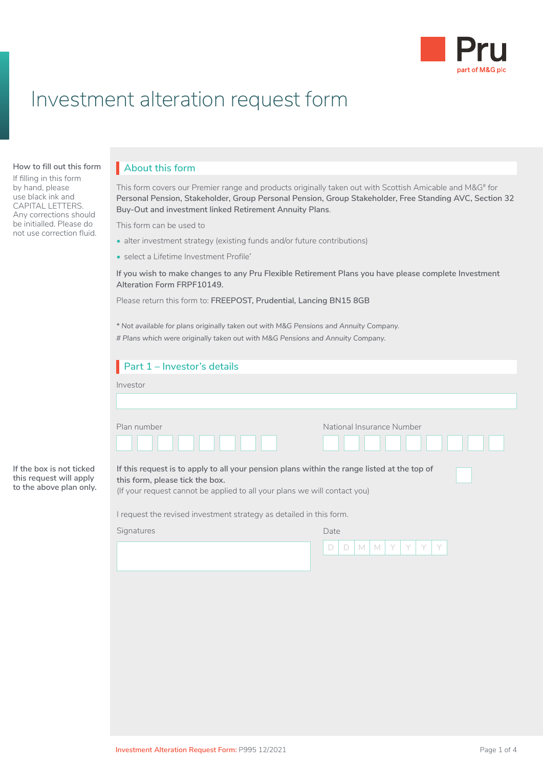

## Investment alteration request form

## **How to fill out this form About this form**

If filling in this form by hand, please use black ink and CAPITAL LETTERS. Any corrections should be initialled. Please do not use correction fluid.

**If the box is not ticked this request will apply to the above plan only.**

Before you fill in this Local Government Pension Social Scheme (Scheme To reading to read to prove **Buy-Out and investment linked Retirement Annuity Plans.** This form covers our Premier range and products originally taken out with Scottish Amicable and M&G# for Personal Pension, Stakeholder, Group Personal Pension, Group Stakeholder, Free Standing AVC, Section 32  $\mathsf{TS}_\mathsf{c}$  are already paying AVCs and you very set  $\mathsf{S}_\mathsf{c}$ 

This form can be used to

- alter investment strategy (existing funds and/or future contributions)
- select a Lifetime Investment Profile\*

If you wish to make changes to any Pru Flexible Retirement Plans you have please complete Investment **Alteration Form FRPF10149.** You have at  $p$  at  $p$  at  $p$  at  $p$  at  $p$  and  $p$  at  $p$ 

Please return this form to: **FREEPOST, Prudential, Lancing BN15 8GB**

*\* Not available for plans originally taken out with M&G Pensions and Annuity Company.*

*# Plans which were originally taken out with M&G Pensions and Annuity Company.*

| Part 1 - Investor's details                                                                                                                                                                                 |                                                              |
|-------------------------------------------------------------------------------------------------------------------------------------------------------------------------------------------------------------|--------------------------------------------------------------|
| Investor                                                                                                                                                                                                    |                                                              |
|                                                                                                                                                                                                             |                                                              |
| Plan number                                                                                                                                                                                                 | National Insurance Number                                    |
| If this request is to apply to all your pension plans within the range listed at the top of<br>this form, please tick the box.<br>(If your request cannot be applied to all your plans we will contact you) |                                                              |
| I request the revised investment strategy as detailed in this form.                                                                                                                                         |                                                              |
| Signatures                                                                                                                                                                                                  | Date                                                         |
|                                                                                                                                                                                                             | Y<br>M<br>Y<br>M<br>$\begin{array}{c} \end{array}$<br>$\Box$ |
|                                                                                                                                                                                                             |                                                              |
|                                                                                                                                                                                                             |                                                              |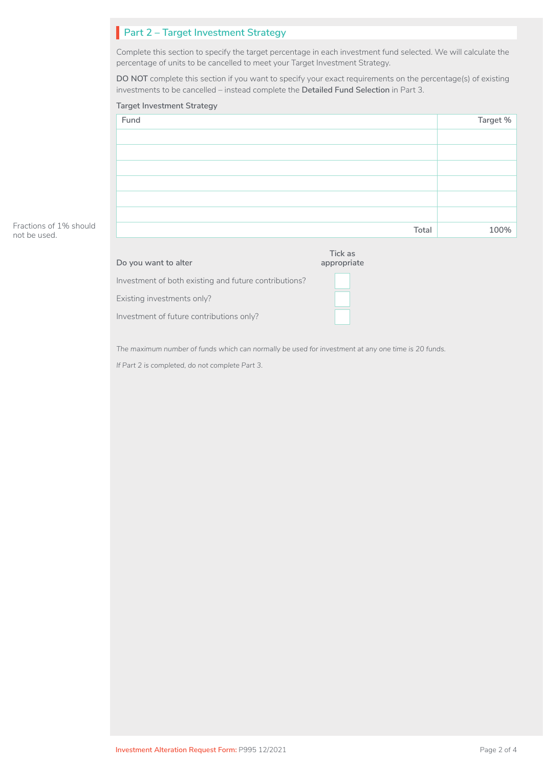## **Part 2 – Target Investment Strategy**

Complete this section to specify the target percentage in each investment fund selected. We will calculate the percentage of units to be cancelled to meet your Target Investment Strategy.

**DO NOT** complete this section if you want to specify your exact requirements on the percentage(s) of existing investments to be cancelled – instead complete the **Detailed Fund Selection** in Part 3.

# **Fund Target % Total 100% Target Investment Strategy**

#### Fractions of 1% should not be used.

| Do you want to alter                                  | Tick as<br>appropriate |
|-------------------------------------------------------|------------------------|
| Investment of both existing and future contributions? |                        |
| Existing investments only?                            |                        |
| Investment of future contributions only?              |                        |
|                                                       |                        |

*The maximum number of funds which can normally be used for investment at any one time is 20 funds.* 

*If Part 2 is completed, do not complete Part 3.*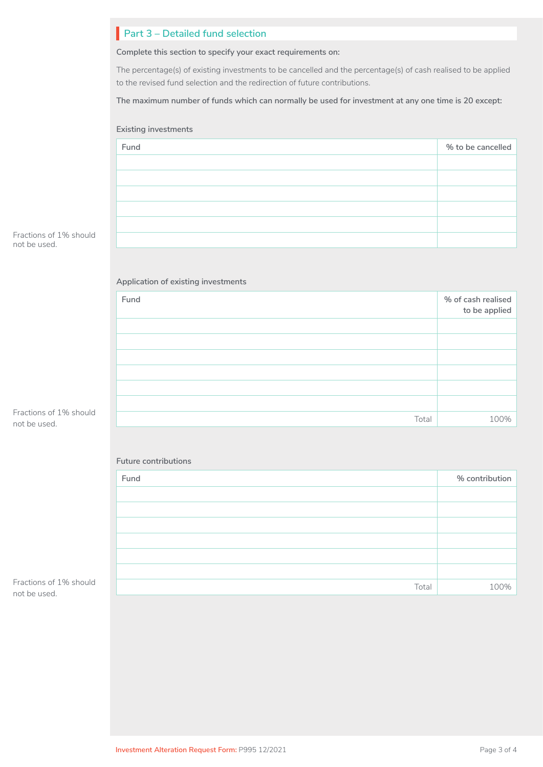|                                        | Part 3 - Detailed fund selection                                                                                                                                                             |                                     |  |
|----------------------------------------|----------------------------------------------------------------------------------------------------------------------------------------------------------------------------------------------|-------------------------------------|--|
|                                        | Complete this section to specify your exact requirements on:                                                                                                                                 |                                     |  |
|                                        | The percentage(s) of existing investments to be cancelled and the percentage(s) of cash realised to be applied<br>to the revised fund selection and the redirection of future contributions. |                                     |  |
|                                        | The maximum number of funds which can normally be used for investment at any one time is 20 except:                                                                                          |                                     |  |
|                                        | <b>Existing investments</b>                                                                                                                                                                  |                                     |  |
|                                        | Fund                                                                                                                                                                                         | % to be cancelled                   |  |
|                                        |                                                                                                                                                                                              |                                     |  |
|                                        |                                                                                                                                                                                              |                                     |  |
| Fractions of 1% should<br>not be used. |                                                                                                                                                                                              |                                     |  |
|                                        |                                                                                                                                                                                              |                                     |  |
|                                        | Application of existing investments                                                                                                                                                          |                                     |  |
|                                        | Fund                                                                                                                                                                                         | % of cash realised<br>to be applied |  |
|                                        |                                                                                                                                                                                              |                                     |  |
|                                        |                                                                                                                                                                                              |                                     |  |
|                                        |                                                                                                                                                                                              |                                     |  |
|                                        |                                                                                                                                                                                              |                                     |  |
| Fractions of 1% should<br>not be used. | Total                                                                                                                                                                                        | 100%                                |  |
|                                        |                                                                                                                                                                                              |                                     |  |
|                                        | Future contributions                                                                                                                                                                         |                                     |  |
|                                        | Fund                                                                                                                                                                                         | % contribution                      |  |
|                                        |                                                                                                                                                                                              |                                     |  |
|                                        |                                                                                                                                                                                              |                                     |  |
|                                        |                                                                                                                                                                                              |                                     |  |

Fractions of 1% should not be used.

•

Total 100%